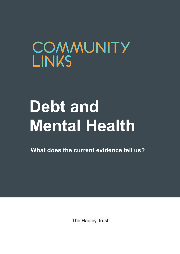## COMMUNITY **LINKS**

# **Debt and Mental Health**

**What does the current evidence tell us?**

The Hadley Trust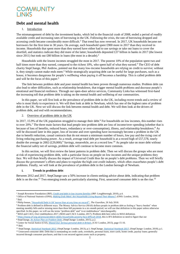

#### **Debt and mental health**

#### 1. Introduction

The mismanagement of debt by the investment banks, which led to the financial crash of 2008, ended a period of readily available credit and increasing rates of borrowing in the UK. Following the crisis, the rate of borrowing dropped and accessing credit became considerably more difficult.<sup>1</sup> That trend has now reversed. In 2017, UK households became net borrowers for the first time in 30 years. On average, each household spent £900 more in 2017 than they received in income. Households that spent more than they earned have either had to use savings or take out loans to cover the shortfall, and statistics indicate they did more of the latter; households deposited £37 billion in banks in 2017 (the lowest since 2011) but took out £80 billion in loans (the most in a decade).<sup>2</sup>

Households with the lowest incomes struggled the most in 2017. The poorest 10% of the population spent two and half times more than they earned, compared to the richest 10%, who spent half of what they earned.<sup>3</sup> The CEO of debt charity StepChange, Phil Andrew, pointed out that many low-income households are relying on credit to survive; without it, they simply cannot make ends meet.<sup>4</sup> While strategically acquiring debt can be useful for large purchases, such as a house, it becomes dangerous for people's wellbeing when paying it off becomes a hardship. This is called problem debt and will be the focus of this paper.<sup>5</sup>

The link between problem debt and poor mental health has been proven through numerous studies. Problem debt can also lead to other difficulties, such as relationship breakdown, that trigger mental health problems and decrease people's emotional and financial resilience. Through our open-door advice services, Community Links has witnessed first-hand the increasing toll that problem debt is taking on the mental health and wellbeing of our communities.

In this paper, we will first look at the prevalence of problem debt in the UK, including recent trends and a review of who is most likely to experience it. We will then look at debt in Newham, which has one of the highest rates of problem debt in the UK. Next we will discuss the link between mental health and debt. We will then look at the drivers of problem debt, and end with recommendations.

2. Overview of problem debt in the UK

In 2017, 15.9% of the UK population struggled to manage their debt.<sup>6</sup> For households on low incomes, this number rises to over 20%.<sup>7</sup> The three main factors that lead people into problem debt are loss of income/over-spending (whether that is because of loss of benefits, reduced hours, redundancy or over-consumption), illness, and relationship breakdown.<sup>8</sup> As will be discussed later in this paper, loss of income and over-spending have increasingly become a problem in the UK due to benefit reduction, casual contracts that do not ensure a minimum number of hours, low pay and the rising cost of living reducing purchasing power. As a result, average total debt per household is at a record high of £57,578, nearly double the average in 2002 (£29,000).<sup>9</sup> Savings, meanwhile, are at a record low.<sup>10</sup> As people take on more debt without the financial safety net of savings, problem debt will continue to become more common.

In this section, we will first review the latest patterns in problem debt. Then we will discuss the groups who are most at risk of experiencing problem debt, with a particular focus on people on low incomes and the unique problems they face. We will then briefly discuss the impact of Universal Credit thus far on people's debt problems. Then we will briefly discuss the government's efforts and plans to regulate the high cost credit industry, which often exacerbates people's debt problems. Finally, we will look at the prevalence of problem debt in the London borough of Newham.

#### **i. Trends in problem debt**

Between 2012 and 2017, StepChange saw a 50% increase in clients seeking advice about debt, indicating that problem debt is on the rise.<sup>11</sup> Two emerging trends are particularly alarming. First, unsecured consumer debt is on the rise.<sup>12</sup>

**.** 

<sup>8</sup> StepChange*, [An Action Plan on Problem Debt](https://www.stepchange.org/Portals/0/documents/media/reports/additionalreports/StepChange_Action_Plan_on_Problem_Debt_2015.pdf)*, (StepChange: London, 2015), p.2.

<sup>10</sup> Ibid.

<sup>1</sup> Joseph Rowntree Foundation (JRF), *[Credit and debt in low income families](https://www.jrf.org.uk/sites/default/files/jrf/migrated/files/credit-debt-low-incomes-full.pdf)* (JRF: Loughborough, 2010), p.4.

<sup>2</sup> Office of National Statistics (ONS)*, [Making Ends Meet: Are Households Living Beyond Their Means?](https://www.ons.gov.uk/economy/nationalaccounts/uksectoraccounts/articles/makingendsmeetarehouseholdslivingbeyondtheirmeans/2018-07-26)*, (ONS: London, 2018).

<sup>3</sup> Ibid.

<sup>4</sup> Philip Inman, ["Household Debt in UK 'worse than at any time on record'"](https://www.theguardian.com/money/2018/jul/26/household-debt-in-uk-worse-than-at-any-time-on-record), *The Guardian,* 26 July 2018.

<sup>5</sup> Problem debt is defined in different ways. The Money Advice Service (MAS) defines people in problem debt as feeling a "heavy burden" when meeting monthly bills and/or missing more than three bill payments in a six-month period; we will use that definition in this paper unless otherwise specified. In this paper, we will use the terms "problem debt" and "over-indebtedness" interchangeably.

<sup>6</sup> MAS and CACI, *Over-indebtedness 2017*, (MAS and CACI: London, 2017). Problem debt here refers to MAS definition.

<sup>&</sup>lt;sup>7</sup> <https://www.jrf.org.uk/press/problem-debts-households-poverty-face-difficult-2018>, this is IFS definition so need to figure that out

<sup>9</sup> Centre for Social Justice (CSJ)*, [Maxed Out: Serious personal debt in Britain](http://www.centreforsocialjustice.org.uk/library/maxed-serious-personal-debt-britain/pi-34)*, (CSJ: London, 2013), page 15-16.

<sup>11</sup> StepChange, *[Statistical Yearbook 2012](https://www.stepchange.org/Portals/0/Documents/media/reports/statisticsyearbooks/Statistical_Yearbook_2012.pdf)*, (StepChange: London, 2013), p.1; StepChange, *[Statistical Yearbook 2017](https://www.stepchange.org/policy-and-research/2017-personal-debt-statistics-yearbook.aspx)*, (StepChange: London, 2018), p.1.

<sup>&</sup>lt;sup>12</sup> Unsecured consumer debt: Debt that is outstanding on credit cards, overdrafts, personal loans, store cards, home credit, payday loans; generally incurred through consumer purchases, and that is not secured against assets such as property.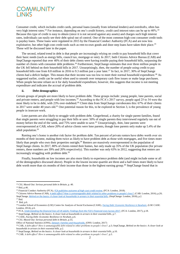

Consumer credit, which includes credit cards, personal loans (usually from informal lenders) and overdrafts, often has very high interest rates.<sup>13</sup> For instance, depending on one's credit history, credit card interest rates can be up to 40%.<sup>14</sup> Because this type of credit is easy to obtain (since it is not secured against any assets) and charges such high interest rates, individuals can easily see their debt spiral out of control. One of the most common high-cost consumer credit tools is payday loans. These loans were regulated in 2015 by the Financial Conduct Authority (FCA) and are now less exploitative, but other high-cost credit tools such as rent-to-own goods and door-step loans have taken their place.<sup>15</sup> These will be discussed later in the paper.

The second, related trend in debt is that people are increasingly relying on credit to pay household bills that cover their basic needs (such as energy bills, council tax, mortgage or rent). In 2017, both Citizens Advice Bureau (CAB) and StepChange reported that over 40% of their debt clients were having trouble paying their household bills, surpassing the number of clients with consumer debt problems.<sup>16</sup> Furthermore, StepChange estimates that over three million people in the UK fell behind on their household bills in 2017. Unsurprisingly, then, the number of people using credit to pay household bills rose from 8.8 million in 2016 to 9.3 million just a year later.<sup>17</sup> In fact, in 2017, 30% of StepChange clients had a deficit budget. This means that their income was too low to meet their normal household expenditure.<sup>18</sup> As suggested earlier, credit can be useful when used to smooth over temporary cash flow issues or make large purchases. When people become reliant on it for daily household expenditure, however, this suggests that income is not meeting expenditure and indicates the accrual of problem debt.

#### **ii. Debt demographics**

Certain groups of people are more likely to have problem debt. These groups include: young people, lone parents, social and private renters, and people with low incomes.<sup>19</sup> According to the FCA's 2017 survey, people aged 25 to 34 were the most likely to be in debt, with 23% over-indebted.<sup>20</sup> Client data from StepChange corroborates this: 67% of their clients in 2017 were under 40 years old.<sup>21</sup> One potential reason for this, to be explored in Section 3, is the prevalence of young people in insecure work.

Lone parents are also likely to struggle with problem debt. Gingerbread, a charity for single parent families, found that single parents were struggling to pay their bills or save: 50% of single parents they interviewed regularly ran out of money before the end of the week, and 75% were unable to save.<sup>22</sup> Unsurprisingly, then, lone parents were overrepresented at CAB, where 20% of advice clients were lone parents, though lone parents only make up 5.4% of the adult population.<sup>23</sup>

Renting one's home is another risk factor for problem debt. Ten percent of private renters have debts worth over six months of their income, making them twice as likely to have problem debt as those with mortgages, and five times more likely than people who own their properties outright.<sup>24</sup> Renters are massively overrepresented in the population of StepChange clients. In 2017, 80% of clients rented their homes, but only made up 35% of the UK population (for private renters, these numbers are 39% and 20% respectively). This number was only 63% in 2012, suggesting that renters are increasingly struggling with problem debt.<sup>25</sup>

Finally, households on low incomes are also more likely to experience problem debt (and might include some or all of the demographics discussed above). People in the lowest income quartile are three and a half times more likely to have debt worth more than six months of their income than those in the highest earning group.<sup>26</sup> StepChange found that in

1

<sup>13</sup> CSJ, *Maxed Out: Serious personal debt in Britain*, p. 40.

<sup>14</sup> Ibid, p.46.

<sup>15</sup> Financial Conduct Authority (FCA), *[FCA publishes outcome of high-cost credit review](ttps://www.fca.org.uk/news/press-releases/fca-publishes-outcome-high-cost-credit-review)*, (FCA: London, 2018).

<sup>16</sup> Citizens Advice Bureau (CAB), *[A debt effect? How is unmanageable debt related to other problems in people's lives?](https://www.citizensadvice.org.uk/cymraeg/about-us/policy/policy-research-topics/debt-and-money-policy-research/a-debt-effect/)*, (CAB: London, 2016), p.20; StepChange, *[Behind on the basics: A closer look at households in arrears in their essential bills](https://www.stepchange.org/policy-and-research/behind-on-the-basics.aspx)*, (StepChange: London, 2018), p.2.

<sup>17</sup> Ibid.

<sup>18</sup> Ibid, p.6.

<sup>19</sup> London School of Economics (LSE) Centre for Analysis of Social Exclusion (CASE), *[Facing Debt: Economic Resilience in Newham](https://www.newham.gov.uk/Documents/Misc/Research-EconomicResilience.pdf)*, (LSE CASE: London, 2014), p.6.

<sup>20</sup> FCA, *Understanding the fina[ncial lives of UK adults: Findings from the FCA's Financial Lives Survey 2017](https://www.fca.org.uk/publication/research/financial-lives-survey-2017.pdf)*, (FCA: London, 2017), p.18.

<sup>&</sup>lt;sup>21</sup> StepChange, *Behind on the basics: A closer look at households in arrears in their essential bills*, p.7.

<sup>22</sup> CASE, *Facing Debt: Economic Resilience in Newham*, p.6.

<sup>23</sup> CSJ, *Maxed Out: Serious personal debt in Britain*, p.55;

Office of National Statistics (ONS), *[Dataset: Families and Households](https://www.ons.gov.uk/peoplepopulationandcommunity/birthsdeathsandmarriages/families/datasets/familiesandhouseholdsfamiliesandhouseholds)*, (ONS: London, 2017)

<sup>24</sup> CAB, *A debt effect? How is unmanageable debt related to other problems in people's lives?*, p.3; StepChange, *Behind on the basics: A closer look at households in arrears in their essential bills*, p.2.

<sup>25</sup> StepChange, *Behind on the basics: A closer look at households in arrears in their essential bills*, p.10.

<sup>26</sup> CAB*, A debt effect? How is unmanageable debt related to other problems in people's lives?*, p.3.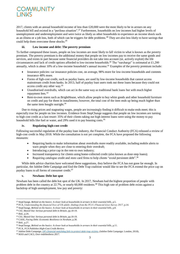

2017, clients with an annual household income of less than £20,000 were the most likely to be in arrears on any household bill and existed in a "perilous situation".<sup>27</sup> Furthermore, households on low incomes had higher levels of unemployment and underemployment and were twice as likely as other households to experience an income shock such as an illness or a job loss, both of which can be triggers for debt problems.<sup>28</sup> They are also less likely to have savings that could help them overcome these shocks.<sup>29</sup>

#### **iii. Low income and debt: The poverty premium**

To further compound these issues, people on low incomes are most likely to fall victim to what is known as the poverty premium. The poverty premium is the additional money that people on low incomes pay to receive the same goods and services, and exists in part because some financial providers do not take into account (or, actively exploit) the life circumstances and lack of credit options afforded to low-income households.<sup>30</sup> The "surcharge" is estimated at £1,280 annually, which is about 10% of a low-income household's annual income.<sup>31</sup> Examples of the poverty premium include:

- Insurance policies: car insurance policies cost, on average, 98% more for low-income households and contents insurance 48% more.
- Forms of figh-cost credit, such as payday loans, are used by low-income households that cannot access mainstream credit from banks. In 2013, half of payday loan users took out these loans because they could not access credit any other way.<sup>32</sup>
- Unauthorised overdrafts, which can act in the same way as traditional bank loans but with much higher repayment fees.<sup>33</sup>
- Rent-to-own stores such as BrightHouse, which allow people to buy white goods and other household furniture on credit and pay for them in installments; however, the total cost of the item ends up being much higher than the same item bought outright.<sup>34</sup>

Due to rising prices and stagnating wages, people are increasingly finding it difficult to make ends meet; this is especially true for people on low incomes. Evidence from StepChange suggests that people on low incomes are turning to high cost credit as a last resort: 35% of their clients taking out high interest loans were using the money to pay household bills like fuel or water, and 29% used it to pay housing costs.<sup>35</sup>

#### **iv. Regulating high-cost credit**

Following successful regulation of the payday loan industry, the Financial Conduct Authority (FCA) released a review of high-cost credit in May 2018. While the consultation is not yet complete, the FCA have proposed the following measures:

- Requiring banks to make information about overdrafts more readily available, including mobile alerts to warn people when they are close to entering their overdraft;
- Introducing a price cap in the rent-to own industry;
- Increased transparency for clients using home-collected credit (also known as door-step loans);
- Requiring catalogue credit and store card firms to help clients "avoid persistent debt".<sup>36</sup>

While debt advice charities have welcomed these suggestions, they believe the FCA has not gone far enough. In particular, the Jubilee Debt Campaign and End the Debt Trap coalition would like to see the FCA extend the price cap on payday loans to all forms of consumer credit.<sup>37</sup>

#### **v. Newham: Debt hot spot**

Newham has been called the debt hot spot of the UK. In 2017, Newham had the highest proportion of people with problem debt in the country at 22.7%, or nearly 60,000 residents.<sup>38</sup> This high rate of problem debt exists against a backdrop of high unemployment, low pay and poverty:

1

<sup>&</sup>lt;sup>27</sup> StepChange, *Behind on the basics: A closer look at households in arrears in their essential bills*, p.5.

<sup>28</sup> FCA, *Understanding the financial lives of UK adults: findings from the FCA's Financial Lives Survey 2017*, p.14.

<sup>29</sup> StepChange, *Behind on the basics: A closer look at households in arrears in their essential bills*, p.8.

<sup>30</sup> CSJ, *Maxed Out: Serious personal debt in Britain*, pp.18-19.

<sup>31</sup> Ibid., p.29.

<sup>32</sup> CSJ, *Maxed Out: Serious personal debt in Britain*, pp.18-19.

<sup>33</sup> CASE, *Facing Debt: Economic Resilience in Newham*, p.30.

<sup>34</sup> Ibid., p.27.

<sup>35</sup> StepChange, *Behind on the basics: A closer look at households in arrears in their essential bills*, p.11.

<sup>36</sup> FCA, *FCA Publishes High-Cost Credit Review*.

<sup>37</sup> Jubilee Debt Campaign, *[UK's financial watchdog fails to protect debt](https://jubileedebt.org.uk/blog/uks-financial-watchdog-fails-to-protect-debt-trap-victims)-trap victims*, (Jubilee Debt Campaign: London, 2018).

<sup>38</sup> MAS and CACI, *Over-indebtedness 2017*.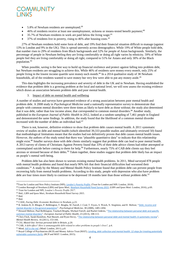

- 5.8% of Newham residents are unemployed;<sup>39</sup>
- 46% of residents receive at least one unemployment, sickness or means-tested benefit payment;<sup>40</sup>
- 35.7% of Newham residents in work are paid below the living wage: $41$
- 37% of residents live in poverty, rising to 46% after housing costs.<sup>42</sup>

27% of Newham residents hold some form of debt, and 19% find their financial situation difficult to manage (against 13% in London and 9% in the UK). This is spread unevenly across demographics. While 19% of White people hold debt, that number rises to 29% of residents from Black backgrounds and 32% for people of Asian backgrounds. Similarly, the percentage of people in Newham feeling they are living comfortably or doing all right varies by ethnicity. 59% of White people feel they are living comfortably or doing all right, compared to 51% for Asians and only 30% of the Black population.<sup>43</sup>

When possible, saving is the best way to build up financial resilience and protect against falling into problem debt, but Newham residents are struggling to achieve this. While 46% of residents save money every month, only 25% of people living in the lowest income quartile save money each month.<sup>44</sup> In a 2014 qualitative study of 38 Newham households, all of the residents wanted to save money but very few were able to put any money aside.<sup>45</sup>

This data highlights the increasing prevalence and severity of debt in the UK and in Newham. Having established the evidence that problem debt is a growing problem at the local and national level, we will now assess the existing evidence which draws an association between problem debt and poor mental health.

3. Impact of debt on mental health and wellbeing

A number of studies and surveys have generated evidence of a strong association between poor mental health and problem debt. A 2008 study in *Psychological Medicine* used a nationally representative survey to demonstrate that people with common mental disorders were three times as likely to have debt as those without; the study also determined that it was debt, rather than low income alone, that corresponded to common mental disorders.<sup>46</sup> Another study, published in the *European Journal of Public Health* in 2012, looked at a random sampling of 7,461 people in England and demonstrated the same findings. In addition, the study found that the likelihood of a common mental disorder increased with the number of debts an individual had.<sup>47</sup>

There is not, however, definitive evidence to show that problem debt *causes* mental health. A 2011 systematic review of studies on debt and mental health (which identified 39,333 possible studies and ultimately reviewed 50) found that methodological limitations meant that the studies had not definitively proven that debt causes mental health issues. However, the authors of the study noted that there was "plausible quantitative data" to indicate that this relationship might exist.<sup>48</sup> Smaller surveys done with debt clients similarly suggest that problem debt can lead to poor mental health. A 2013 survey of clients of Christians Against Poverty found that 33% of their debt advice clients had either attempted or contemplated suicide before coming to them for help.<sup>49</sup> Furthermore, nearly 75% of CAB debt clients say they feel anxious or stressed because of their debts.<sup>50</sup> Taken together, these studies suggest that problem debt likely has an impact on people's mental well-being.

Problem debt has also been shown to worsen existing mental health problems. In 2011, Mind surveyed 878 people with mental health problems and found that nearly 90% felt that their financial difficulties had worsened their conditions.<sup>51</sup> A study by the Money and Mental Health Policy Institute found that problem debt can prevent people from recovering fully from mental health problems. According to this study, people with depression who also have problem debt are four times more likely to continue to be depressed 18 months later than those without problem debt.<sup>52</sup>

-

<sup>39</sup>Trust for London and New Policy Institute (NPI), *[London's Poverty Profile](https://www.trustforlondon.org.uk/data/boroughs/newham-poverty-and-inequality-indicators/)*, (Trust for London and NPI: London, 2018).

<sup>40</sup> London Borough of Newham (LBN) and Ipsos Mori, *[Newham Household Panel Survey 2015](file://///C22-DATA02/community-links/Policy%20&%20Research/Research/Hadley%20Trust%20project/Briefing%20drafts/,%20https:/www.newham.gov.uk/Documents/Misc/Research-HouseholdSurvey8.pdf)*, (LBN and Ipsos Mori: London, 2016), p.69.

<sup>41</sup> Trust for London and NPI, *London's Poverty Profile 2017*.

<sup>42</sup> Ibid.; LBN and Ipsos Mori, *Newham Household Panel Survey 2015*.

<sup>43</sup> Ibid. <sup>44</sup> Ibid.

<sup>45</sup> CASE, *Facing Debt: Economic Resilience in Newham*, p.23.

<sup>46</sup> R. Jenkins R, D. Bhugra, P. Bebbington, T. Brugha, M. Farrell, J. Coid, T. Fryers, S. Weich, N. Singleton, and H. Meltzer, "[Debt, income and](https://www.ncbi.nlm.nih.gov/pubmed/18184442)  [mental disorder in the general population](https://www.ncbi.nlm.nih.gov/pubmed/18184442)", *Psychological Medicine*, 38 (2008), 1485-1494.

<sup>47</sup> Howard Meltzer, Paul Bebbington, Traolach Brugha, Michael Farrell, and Rachel Jenkins, "The relationship between personal debt and specific [common mental disorders](https://academic.oup.com/eurpub/article/23/1/108/464719#6982703)", *European Journal of Public Health,* 23 (2013), 108-113.

<sup>48</sup> Chris Fitch, Sarah Hamilton, Paul Bassett, and Ryan Davey, "[The relationship between personal debt and mental health: A systematic review](https://www.emeraldinsight.com/doi/abs/10.1108/13619321111202313)", *Mental Health Review,* 16 (2011), 153-166.

<sup>49</sup> CSJ, *Maxed Out: Serious personal debt in Britain*, p.20.

<sup>50</sup> CAB, *A debt effect? How is unmanageable debt related to other problems in people's lives?,* p.4.

<sup>51</sup> Mind, *[Still in the red](https://www.mind.org.uk/media/273468/still-in-the-red.pdf),* (Mind: London, 2011), p.8.

<sup>52</sup> Royal College of Psychiatrists (RCP) and Money Advice Trust (MAT), *[Lending, debt collection and mental health: 12 steps for treating potentially](http://www.moneyadvicetrust.org/SiteCollectionDocuments/Research%20and%20reports/12%20steps%20(Nov%202015).pdf)  [vulnerable customers fairly](http://www.moneyadvicetrust.org/SiteCollectionDocuments/Research%20and%20reports/12%20steps%20(Nov%202015).pdf)*, (RCP and MAT: London, 2015).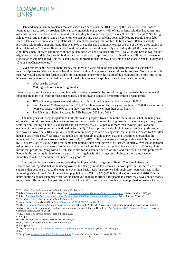

Debt and mental health problems can also exacerbate each other. A 2013 report by the Centre for Social Justice found that stress caused by problem debt was driving people out of work. 40% of respondents said they had taken time off work because of debt-related stress, and 10% said they had to quit their job as a result of debt problems.<sup>53</sup> Not being able to work, and therefore losing income, can worsen existing debt problems, potentially leading people into a debt spiral. Debt can also put a strain on relationships, sometimes leading relationships to break down. Relate, a charity providing relationship support, found that over 50% of couples say that money worries are one of the top three strains on their relationship.<sup>54</sup> Another Relate study found that individuals most negatively affected by the 2008 recession were eight times more likely to end their relationship than those who had not been affected.<sup>55</sup> Relationship breakdown can be a trigger for problem debt, because individuals are no longer able to split costs such as housing or utilities with someone else.Relationship breakdown was the leading cause of problem debt for 16% of clients of Christians Against Poverty and 10% of StepChange clients.<sup>56</sup>

Given this evidence, we can therefore say that there is a wide-range of data and literature which establishes a relationship between debt and mental health problems, although at present the causal link is less clear. To strengthen this case, we would suggest that further studies are conducted to determine the nature of this relationship. For the time being, however, we have summarised below some of the driving factors for -problem debt in our local community.

4. What are the drivers?

#### **i. Making ends meet is getting harder**

Low-paid work and insecure work, combined with a sharp increase in the cost of living, are increasingly common and force people to rely on credit for basic necessities. The following statistics demonstrate these recent trends:

- 18% of UK employees are paid below two thirds of the UK median hourly wage (£8.29).<sup>57</sup>
- From October 2016 to September 2017, 1.6 million were on temporary contracts and 880,000 were on zerohours contracts, with 36% saying they were working fewer than their usual hours.<sup>58</sup>
- The UK cost of living increased by 25% between 2008 and 2013.<sup>59</sup>

The rising cost of living has pervaded multiple areas of people's lives. One of the main issues is that the rising cost of housing has left people unable to save money for deposits to buy homes, forcing them into the more expensive private rental sector. Renting a home is less secure and, on average, costs £900 per year more than owning (this is another element of the poverty premium mentioned in Section 2).<sup>60</sup> Rental prices are also high, however, and can push people into poverty. While only 18% of private tenants were in poverty before housing costs, that number increased to 38% after housing costs were paid.<sup>61</sup> As rents rise, people are increasingly unable to pay: National Debtline reported that the number of clients with rent arrears doubled from 2007 to 2012. Utility prices are also rising, with water bills increasing by 35% from 2003 to 2013. During that same time period, water debt increased by 80%.<sup>62</sup> Annually, over 100,000 people using pre-payment energy metres "voluntarily" disconnect from their energy suppliers because of lack of money. This means that people are going without heat, sometimes for an extended period of time, and can result in health problems.<sup>63</sup> People in the bottom quintile of earners particularly struggle with the rising cost of living, because they have less flexibility to reduce expenditure on unnecessary goods.<sup>64</sup>

Low pay and insecure work are exacerbating the impact of the rising cost of living. The Joseph Rowntree Foundation has reported that while unemployment fell sharply in the last 20 years, in-work poverty has increased.<sup>65</sup> This suggests that people are not paid enough to cover their basic needs. Insecure work through zero-hours contracts is also increasing, rising from 2.3% of the working population in 2014 to 2.8% (905,000 workers) at the end of 2016.<sup>66</sup> Zerohours contracts do not guarantee work for the employee, making it difficult for people to ensure they have enough money to pay their bills on time. Against this backdrop of low and/or insecure pay, people are being pushed to take out loans

**.** 

<sup>53</sup> CSJ, *Maxed Out: Serious personal debt in Britain*, p.28; Ibid. p.21.

<sup>54</sup> Relate, Relationships Scotland, and Marriage Care, *[The way we are now: The state of the UK's relationships](https://www.relate.org.uk/sites/default/files/publication-way-we-are-now-2015.pdf)*, (Relate: London, 2015), p.6.

<sup>55</sup> Relate, *[Relationships, Recession and Recovery: The role of relationships in generating social recovery](https://www.relate.org.uk/sites/default/files/publication-social-recession-report-sept2014_0.pdf)*, (Relate: London, 2014), p.21.

<sup>56</sup> CSJ, *Maxed Out: Serious personal debt in Britain*, p.97.

<sup>57</sup> Joseph Rowntree Foundation (JRF), *[Destitution in the UK 2018](https://www.jrf.org.uk/report/destitution-uk-2018)*, (JRF: York, 2018), p.8.

<sup>58</sup> JRF, *[Preventing destitution: Policy and practice in the UK](https://www.jrf.org.uk/report/preventing-destitution-policy-and-practice-uk)*, (JRF: York, 2018), p.9. A zero hours contract is a contract of service under which the worker is not guaranteed work and is paid only for work carried out (as defined in Doug Pyper, *[Briefing Paper 8045: Employment Status](https://researchbriefings.parliament.uk/ResearchBriefing/Summary/CBP-8045#fullreport),* (House of Commons Library: London, 2018).

<sup>59</sup> CSJ, *Maxed Out: Serious personal debt in Britain*, p.28.

<sup>60</sup> Ibid., p.51.

<sup>61</sup> CASE, *Facing Debt: Economic Resilience in Newham*, p.5.

<sup>62</sup> CSJ, *Maxed Out: Serious personal debt in Britain*, p.51.

<sup>63</sup> Ibid., pp.49-50.

<sup>64</sup> JRF, *[UK Poverty 2017: A comprehensive analysis of poverty trends and figures](https://www.jrf.org.uk/report/uk-poverty-2017)*, (JRF: York, 2017), p.30.

<sup>65</sup> Ibid.

<sup>66</sup> Doug Pyper, *[Briefing Paper 8045: Employment Status](https://researchbriefings.parliament.uk/ResearchBriefing/Summary/CBP-8045#fullreport),* (House of Commons Library: London, 2018), p.28.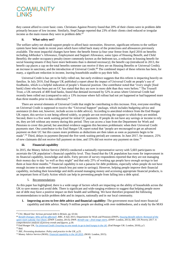### **COMMUNITY**

they cannot afford to cover basic costs. Christians Against Poverty found that 20% of their clients were in problem debt primarily because of low income. Similarly, StepChange reported that 23% of their clients cited reduced or irregular income as the main reason they were in problem debt.<sup>67</sup>

#### **ii. What safety net?**

The welfare safety net should support people to afford basic necessities. However, significant reforms to the welfare system have been made in recent years which have rolled back many of the protections and allowances previously available. The most impactful changes have been: the benefit freeze (a four-year freeze from April 2016 on benefits including JobSeeker's Allowance, Employment and Support Allowance, some types of Housing Benefit, and Child Benefit); the under-occupancy penalty (more commonly known as the bedroom tax, a reduction in housing benefit for social housing tenants if they have more bedrooms than is deemed necessary); the benefit cap (introduced in 2013, the benefit cap places a cap on the total benefits someone can receive if they are on Housing Benefits or Universal Credit); an increase in sanctions; and the introduction of Universal Credit.<sup>68</sup> The combined impact of these reforms has been, for many, a significant reduction in income, leaving households unable to pay their bills.

Universal Credit is has yet to be fully rolled out, but early evidence suggests that this reform is impacting heavily on families. In July 2018, End Hunger UK published a report about the impact of Universal Credit on people's use of foodbanks, which is a helpful indication of people's financial position. One contributor noted that "every single [food bank] client who has been put on UC has stated that they are now in more debt than they were before." The Trussell Trust, a UK network of 400 food banks, found that demand increased by 52% in areas where Universal Credit had recently been rolled out (compared to only a 13% increase where full rollout had not yet happened or had happened more than three months prior to data collection).<sup>69</sup>

There are several elements of Universal Credit that might be contributing to this increase. First, everyone enrolling on Universal Credit is supposed to receive the "Universal Support" package, which includes budgeting advice and assistance (it does not, however, include access to debt advice). According to anecdotal evidence from the End Hunger UK report, this service is not being offered widely, so people are not receiving the support to which they are entitled. Second, there is a five week waiting period for initial UC payments. If people do not have any savings or income to rely on, they are left without any money during this period. They can access a loan from the Department for Work and Pensions to cover this period, but anecdotal evidence suggests this becomes problematic when their Universal Credit payments start. One contributor to the End Hunger UK report noted that "people are encouraged to get an advanced payment on their UC but this causes more problems as deductions are then taken as soon as payments begin to be made".<sup>70</sup> Third, delays in payment (beyond the five week waiting period) are common. In June 2017, for instance, 25% of new claimants did not receive full payment on time, and 15% did not receive any payment on time.<sup>71</sup>

#### **iii. Financial capability**

In 2015, the Money Advice Service (MAS) conducted a nationally representative survey with 5,603 participants to ascertain the UK population's financial capability level. They found that the UK population has room for improvement in its financial capability, knowledge and skills. Forty percent of survey respondents reported that they are not managing their money day to day "as well as they might" and that only 25% of working age people have enough savings to last them at least three months.<sup>72</sup> Financial capability is not a panacea for debt problems, especially when people do not have enough income to make ends meet (much less put some in savings). However, helping people improve their financial capability, including their knowledge and skills around managing money and accessing appropriate financial products, is an important form of Early Action which can help in preventing people from falling into a debt spiral.

#### 5. Recommendations

As this paper has highlighted, there is a wide range of factors which are impacting on the ability of households across the UK to save money and avoid debt. There is significant and wide-ranging evidence to suggest that helping people move out of debt may have a positive impact on their health and wellbeing. We have therefore proposed the following recommendations to tackle problem debt and its impacts, nationally and in our local community.

**1. Improving access to free debt advice and financial capability:** The government must fund more financial capability and debt advice. Nearly 9 million people are dealing with over-indebtedness, and a study by the MAS

<sup>1</sup> <sup>67</sup> CSJ, *Maxed Out: Serious personal debt in Britain*, pp. 63-64.

<sup>68</sup> *[Benefit Changes: Who will be affected?](https://www.bbc.co.uk/news/business-33429390)*, BBC, 8 July 2015; Department for Work and Pensions (DWP), *[Housing Benefit reform: Removal of the](https://www.gov.uk/government/news/housing-benefit-reform-removal-of-the-spare-room-subsidy-fact-sheet)*  [spare room subsidy: Fact Sheet](https://www.gov.uk/government/news/housing-benefit-reform-removal-of-the-spare-room-subsidy-fact-sheet), (DWP: London, 2013); DWP, Benefit cap – [final stage starts](https://www.gov.uk/government/news/benefit-cap-final-stage-starts), (DWP: London, 2013); JRF, *UK Poverty 2017: A comprehensive analysis of poverty trends and figures*, p.30.

<sup>69</sup> End Hunger UK, *[Fix Universal Credit: Ensuring no one needs to go to bed hungry in the UK](https://www.trusselltrust.org/2018/07/11/fix-universal-credit-prevent-people-going-hungry-say-uk-food-aid-providers/)*, (End Hunger UK: London, 2018), p.5. <sup>70</sup> Ibid.

<sup>71</sup> JRF, *Preventing destitution: Policy and practice in the UK*, p.25.

<sup>72</sup> Money Advice Service (MAS), *[Financial capability in the UK 2015](https://fincap-two.cdn.prismic.io/fincap-two%2Fd08746d1-e667-4c9e-84ad-8539ce5c62e0_mas_fincap_uk_survey_2015_aw.pdf)*, (MAS: London, 2015).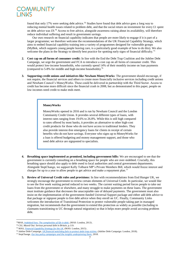

found that only 17% were seeking debt advice.<sup>73</sup> Studies have found that debt advice goes a long way to reducing mental health issues related to problem debt, and that the social return on investment for every £1 spent on debt advice was £9.<sup>74</sup> Access to free advice, alongside awareness raising about its availability, will therefore reduce individual suffering and result in government savings.

Our own research on financial capability indicates that people are more likely to engage if it is part of a larger programme; we therefore welcome the recommendations of the UK Financial Capability Strategy, which aims to embed financial capability training into a variety of programmes designed for vulnerable groups (MyBnk, which supports young people leaving care, is a particularly good example of how to do this). We also welcome the plans in the Strategy to identify best practice for spotting early signs of financial difficulty.<sup>75</sup>

- **2. Cost cap on all forms of consumer credit:** In line with the End the Debt Trap Coalition and the Jubilee Debt Campaign, we urge the government and FCA to introduce a cost cap on all forms of consumer credit. This would protect low-income households, who currently spend 14% of their monthly income on loan payments (compared to 5-8% for middle and high-income households).<sup>76</sup>
- **3. Supporting credit unions and initiatives like Newham MoneyWorks**: The government should encourage, if not require, the financial services and others to create more financially inclusive services including credit unions and Newham Council's MoneyWorks. These could be delivered in partnership with the Third Sector. Access to credit has become more difficult since the financial crash in 2008, but as demonstrated in this paper, people on low incomes need credit to make ends meet.

#### **MoneyWorks**

MoneyWorks opened in 2016 and is run by Newham Council and the London Community Credit Union. It provides several different types of loans, with interest rates ranging from 19.6% to 26.8%. While this is still high compared to rates offered by most banks, it provides an alternative to other high-cost credit products for those who do not have access to traditional lenders. They also provide interest-free emergency loans for clients in receipt of certain benefits who do not have savings. Everyone who signs up to MoneyWorks for a loan is offered budgeting and money management support, and those who need debt advice are signposted to specialists.

- **4. Breathing space implemented as promised, including government bills:** We are encouraged to see that the government is currently consulting on a breathing space for people who are over-indebted. Crucially, this breathing space should also apply to debt owed to local authorities and central government departments. Alongside StepChange, we support Kelly Tolhurst MP's Private Members Bill, which would freeze interest and charges for up to a year to allow people to get advice and make a repayment plan.<sup>77</sup>
- **5. Review of Universal Credit rules and provisions:** In line with recommendations from End Hunger UK, we strongly encourage the government to review certain elements of Universal Credit. In particular, we would like to see the five week waiting period reduced to two weeks. The current waiting period forces people to take out loans from the government or elsewhere, and many struggle to make payments on these loans. The government must institute guidance that decreases the unacceptable rate of delayed payments. The government must also insist on the implementation of the government-funded Universal Support package and either add debt advice to that package or signpost people to free debt advice when they enroll on UC. Finally, Community Links welcomes the introduction of Transitional Protection to protect vulnerable people taking part in managed migration, but recommends that the government to extend this protection as widely as possible (including to claimants transitioning to UC through natural migration) so that it helps more people avoid accruing problem debt.

**.** 

<sup>73</sup>MAS, *[Indebted lives: The complexities of life in debt](https://mascdn.azureedge.net/cms/cs-indebted-lives-the-complexities-of-life-in-debt_november-2013.pdf)*, (MAS: London, 2013) .

<sup>74</sup> CSJ, *Maxed Out: Serious personal debt in Britain*, p.119.

<sup>75</sup> MAS, *[Financial Capability Strategy for the UK](https://fincap-two.cdn.prismic.io/fincap-two%2F98a4b453-cc74-48d0-a301-8c5274adc389_uk+financial+capability+strategy.pdf)*, (MAS: London, 2015) .

<sup>76</sup> Jubilee Debt Campaign, *[UK financial watchdog fails to protect debt-trap victims](https://jubileedebt.org.uk/blog/uks-financial-watchdog-fails-to-protect-debt-trap-victims)*, (Jubilee Debt Campaign: London, 2018).

<sup>77</sup> StepChange, *[Our key policy campaigns and the insights underpinning them](https://www.stepchange.org/policy-and-research/debt-policy.aspx)*, 2018.